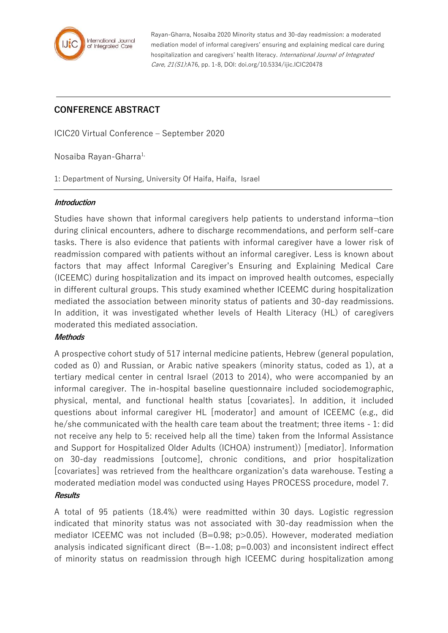

Rayan-Gharra, Nosaiba 2020 Minority status and 30-day readmission: a moderated mediation model of informal caregivers' ensuring and explaining medical care during hospitalization and caregivers' health literacy. International Journal of Integrated Care, 21(S1):A76, pp. 1-8, DOI: doi.org/10.5334/ijic.ICIC20478

# **CONFERENCE ABSTRACT**

ICIC20 Virtual Conference – September 2020

Nosaiba Rayan-Gharra<sup>1,</sup>

1: Department of Nursing, University Of Haifa, Haifa, Israel

#### **Introduction**

Studies have shown that informal caregivers help patients to understand informa¬tion during clinical encounters, adhere to discharge recommendations, and perform self-care tasks. There is also evidence that patients with informal caregiver have a lower risk of readmission compared with patients without an informal caregiver. Less is known about factors that may affect Informal Caregiver's Ensuring and Explaining Medical Care (ICEEMC) during hospitalization and its impact on improved health outcomes, especially in different cultural groups. This study examined whether ICEEMC during hospitalization mediated the association between minority status of patients and 30-day readmissions. In addition, it was investigated whether levels of Health Literacy (HL) of caregivers moderated this mediated association.

# **Methods**

A prospective cohort study of 517 internal medicine patients, Hebrew (general population, coded as 0) and Russian, or Arabic native speakers (minority status, coded as 1), at a tertiary medical center in central Israel (2013 to 2014), who were accompanied by an informal caregiver. The in-hospital baseline questionnaire included sociodemographic, physical, mental, and functional health status [covariates]. In addition, it included questions about informal caregiver HL [moderator] and amount of ICEEMC (e.g., did he/she communicated with the health care team about the treatment; three items - 1: did not receive any help to 5: received help all the time) taken from the Informal Assistance and Support for Hospitalized Older Adults (ICHOA) instrument)) [mediator]. Information on 30-day readmissions [outcome], chronic conditions, and prior hospitalization [covariates] was retrieved from the healthcare organization's data warehouse. Testing a moderated mediation model was conducted using Hayes PROCESS procedure, model 7.

# **Results**

A total of 95 patients (18.4%) were readmitted within 30 days. Logistic regression indicated that minority status was not associated with 30-day readmission when the mediator ICEEMC was not included (B=0.98; p>0.05). However, moderated mediation analysis indicated significant direct  $(B=-1.08; p=0.003)$  and inconsistent indirect effect of minority status on readmission through high ICEEMC during hospitalization among